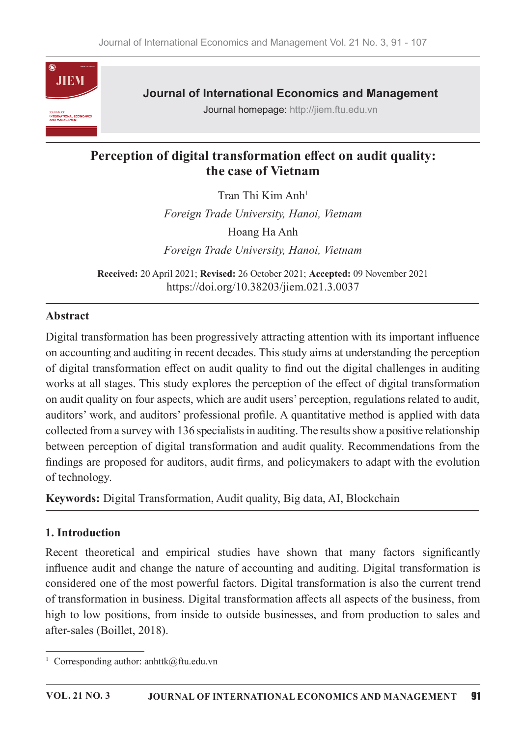

**Journal of International Economics and Management** 

Journal homepage: http://jiem.ftu.edu.vn

# Perception of digital transformation effect on audit quality: the case of Vietnam

Tran Thi Kim Anh<sup>1</sup>

Foreign Trade University, Hanoi, Vietnam Hoang Ha Anh Foreign Trade University, Hanoi, Vietnam

Received: 20 April 2021; Revised: 26 October 2021; Accepted: 09 November 2021 https://doi.org/10.38203/jiem.021.3.0037

## **Abstract**

Digital transformation has been progressively attracting attention with its important influence on accounting and auditing in recent decades. This study aims at understanding the perception of digital transformation effect on audit quality to find out the digital challenges in auditing works at all stages. This study explores the perception of the effect of digital transformation on audit quality on four aspects, which are audit users' perception, regulations related to audit, auditors' work, and auditors' professional profile. A quantitative method is applied with data collected from a survey with 136 specialists in auditing. The results show a positive relationship between perception of digital transformation and audit quality. Recommendations from the findings are proposed for auditors, audit firms, and policymakers to adapt with the evolution of technology.

Keywords: Digital Transformation, Audit quality, Big data, AI, Blockchain

### 1. Introduction

Recent theoretical and empirical studies have shown that many factors significantly influence audit and change the nature of accounting and auditing. Digital transformation is considered one of the most powerful factors. Digital transformation is also the current trend of transformation in business. Digital transformation affects all aspects of the business, from high to low positions, from inside to outside businesses, and from production to sales and after-sales (Boillet, 2018).

<sup>&</sup>lt;sup>1</sup> Corresponding author: anhttk@ftu.edu.vn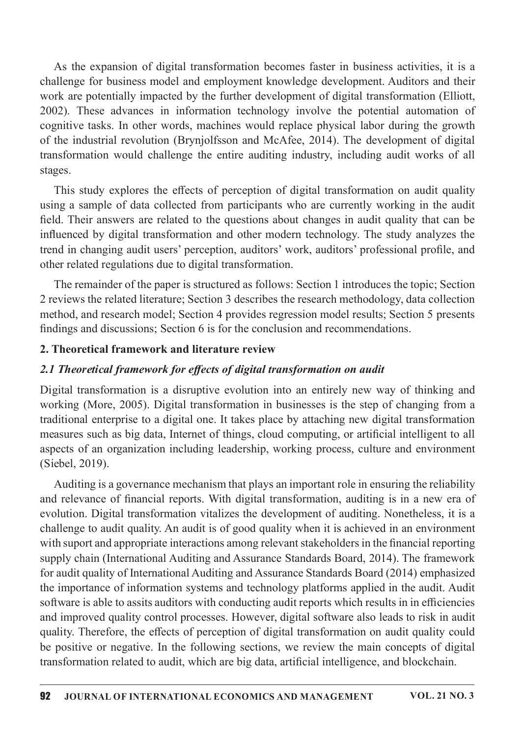As the expansion of digital transformation becomes faster in business activities, it is a challenge for business model and employment knowledge development. Auditors and their work are potentially impacted by the further development of digital transformation (Elliott, 2002). These advances in information technology involve the potential automation of cognitive tasks. In other words, machines would replace physical labor during the growth of the industrial revolution (Brynjolfsson and McAfee, 2014). The development of digital transformation would challenge the entire auditing industry, including audit works of all stages.

This study explores the effects of perception of digital transformation on audit quality using a sample of data collected from participants who are currently working in the audit field. Their answers are related to the questions about changes in audit quality that can be influenced by digital transformation and other modern technology. The study analyzes the trend in changing audit users' perception, auditors' work, auditors' professional profile, and other related regulations due to digital transformation.

The remainder of the paper is structured as follows: Section 1 introduces the topic; Section 2 reviews the related literature; Section 3 describes the research methodology, data collection method, and research model; Section 4 provides regression model results; Section 5 presents findings and discussions; Section 6 is for the conclusion and recommendations.

### 2. Theoretical framework and literature review

### 2.1 Theoretical framework for effects of digital transformation on audit

Digital transformation is a disruptive evolution into an entirely new way of thinking and working (More, 2005). Digital transformation in businesses is the step of changing from a traditional enterprise to a digital one. It takes place by attaching new digital transformation measures such as big data, Internet of things, cloud computing, or artificial intelligent to all aspects of an organization including leadership, working process, culture and environment (Siebel, 2019).

Auditing is a governance mechanism that plays an important role in ensuring the reliability and relevance of financial reports. With digital transformation, auditing is in a new era of evolution. Digital transformation vitalizes the development of auditing. Nonetheless, it is a challenge to audit quality. An audit is of good quality when it is achieved in an environment with suport and appropriate interactions among relevant stakeholders in the financial reporting supply chain (International Auditing and Assurance Standards Board, 2014). The framework for audit quality of International Auditing and Assurance Standards Board (2014) emphasized the importance of information systems and technology platforms applied in the audit. Audit software is able to assits auditors with conducting audit reports which results in in efficiencies and improved quality control processes. However, digital software also leads to risk in audit quality. Therefore, the effects of perception of digital transformation on audit quality could be positive or negative. In the following sections, we review the main concepts of digital transformation related to audit, which are big data, artificial intelligence, and blockchain.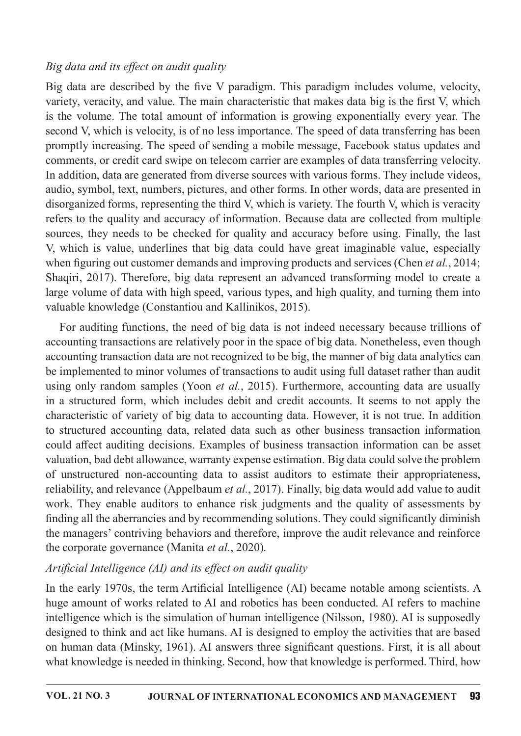### Big data and its effect on audit quality

Big data are described by the five V paradigm. This paradigm includes volume, velocity, variety, veracity, and value. The main characteristic that makes data big is the first V, which is the volume. The total amount of information is growing exponentially every year. The second V, which is velocity, is of no less importance. The speed of data transferring has been promptly increasing. The speed of sending a mobile message, Facebook status updates and comments, or credit card swipe on telecom carrier are examples of data transferring velocity. In addition, data are generated from diverse sources with various forms. They include videos, audio, symbol, text, numbers, pictures, and other forms. In other words, data are presented in disorganized forms, representing the third V, which is variety. The fourth V, which is veracity refers to the quality and accuracy of information. Because data are collected from multiple sources, they needs to be checked for quality and accuracy before using. Finally, the last V, which is value, underlines that big data could have great imaginable value, especially when figuring out customer demands and improving products and services (Chen *et al.*, 2014; Shaqiri, 2017). Therefore, big data represent an advanced transforming model to create a large volume of data with high speed, various types, and high quality, and turning them into valuable knowledge (Constantiou and Kallinikos, 2015).

For auditing functions, the need of big data is not indeed necessary because trillions of accounting transactions are relatively poor in the space of big data. Nonetheless, even though accounting transaction data are not recognized to be big, the manner of big data analytics can be implemented to minor volumes of transactions to audit using full dataset rather than audit using only random samples (Yoon *et al.*, 2015). Furthermore, accounting data are usually in a structured form, which includes debit and credit accounts. It seems to not apply the characteristic of variety of big data to accounting data. However, it is not true. In addition to structured accounting data, related data such as other business transaction information could affect auditing decisions. Examples of business transaction information can be asset valuation, bad debt allowance, warranty expense estimation. Big data could solve the problem of unstructured non-accounting data to assist auditors to estimate their appropriateness, reliability, and relevance (Appelbaum et al., 2017). Finally, big data would add value to audit work. They enable auditors to enhance risk judgments and the quality of assessments by finding all the aberrancies and by recommending solutions. They could significantly diminish the managers' contriving behaviors and therefore, improve the audit relevance and reinforce the corporate governance (Manita *et al.*, 2020).

## Artificial Intelligence (AI) and its effect on audit quality

In the early 1970s, the term Artificial Intelligence (AI) became notable among scientists. A huge amount of works related to AI and robotics has been conducted. AI refers to machine intelligence which is the simulation of human intelligence (Nilsson, 1980). AI is supposedly designed to think and act like humans. AI is designed to employ the activities that are based on human data (Minsky, 1961). AI answers three significant questions. First, it is all about what knowledge is needed in thinking. Second, how that knowledge is performed. Third, how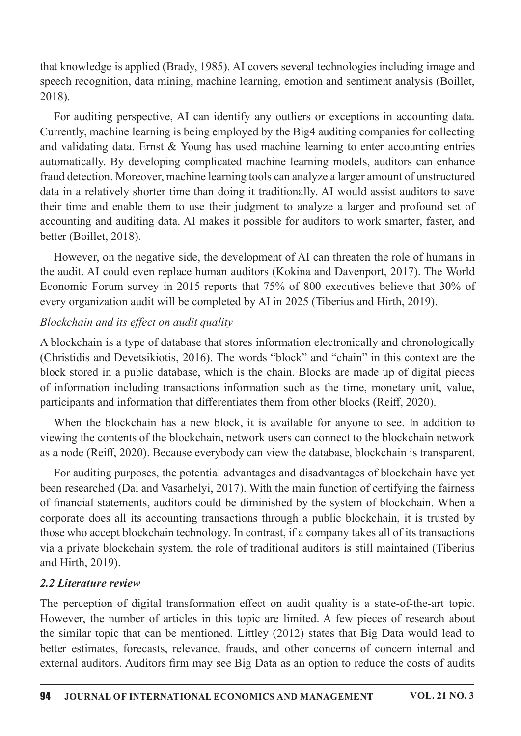that knowledge is applied (Brady, 1985). AI covers several technologies including image and speech recognition, data mining, machine learning, emotion and sentiment analysis (Boillet, 2018).

For auditing perspective, AI can identify any outliers or exceptions in accounting data. Currently, machine learning is being employed by the Big4 auditing companies for collecting and validating data. Ernst  $&$  Young has used machine learning to enter accounting entries automatically. By developing complicated machine learning models, auditors can enhance fraud detection. Moreover, machine learning tools can analyze a larger amount of unstructured data in a relatively shorter time than doing it traditionally. AI would assist auditors to save their time and enable them to use their judgment to analyze a larger and profound set of accounting and auditing data. AI makes it possible for auditors to work smarter, faster, and better (Boillet, 2018).

However, on the negative side, the development of AI can threaten the role of humans in the audit. AI could even replace human auditors (Kokina and Davenport, 2017). The World Economic Forum survey in 2015 reports that 75% of 800 executives believe that 30% of every organization audit will be completed by AI in 2025 (Tiberius and Hirth, 2019).

## Blockchain and its effect on audit quality

A blockchain is a type of database that stores information electronically and chronologically (Christidis and Devetsikiotis, 2016). The words "block" and "chain" in this context are the block stored in a public database, which is the chain. Blocks are made up of digital pieces of information including transactions information such as the time, monetary unit, value, participants and information that differentiates them from other blocks (Reiff, 2020).

When the blockchain has a new block, it is available for anyone to see. In addition to viewing the contents of the blockchain, network users can connect to the blockchain network as a node (Reiff, 2020). Because everybody can view the database, blockchain is transparent.

For auditing purposes, the potential advantages and disadvantages of blockchain have yet been researched (Dai and Vasarhelyi, 2017). With the main function of certifying the fairness of financial statements, auditors could be diminished by the system of blockchain. When a corporate does all its accounting transactions through a public blockchain, it is trusted by those who accept blockchain technology. In contrast, if a company takes all of its transactions via a private blockchain system, the role of traditional auditors is still maintained (Tiberius and Hirth, 2019).

### 2.2 Literature review

The perception of digital transformation effect on audit quality is a state-of-the-art topic. However, the number of articles in this topic are limited. A few pieces of research about the similar topic that can be mentioned. Littley  $(2012)$  states that Big Data would lead to better estimates, forecasts, relevance, frauds, and other concerns of concern internal and external auditors. Auditors firm may see Big Data as an option to reduce the costs of audits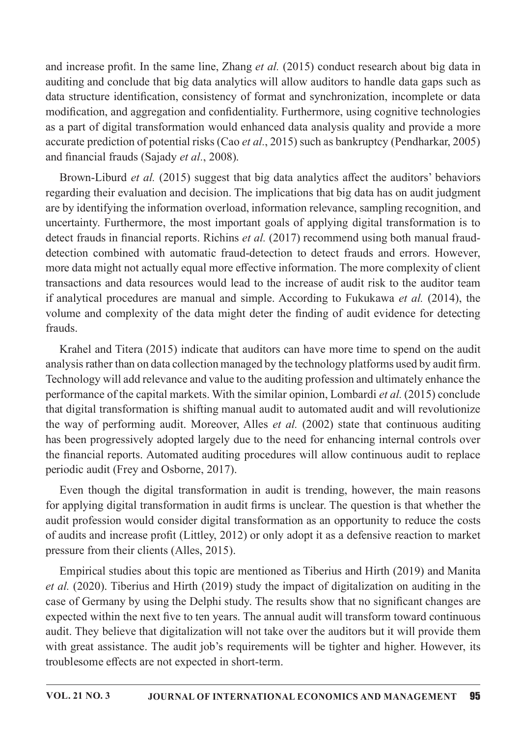and increase profit. In the same line, Zhang et al. (2015) conduct research about big data in auditing and conclude that big data analytics will allow auditors to handle data gaps such as data structure identification, consistency of format and synchronization, incomplete or data modification, and aggregation and confidentiality. Furthermore, using cognitive technologies as a part of digital transformation would enhanced data analysis quality and provide a more accurate prediction of potential risks (Cao et al., 2015) such as bankruptcy (Pendharkar, 2005) and financial frauds (Sajady et al., 2008).

Brown-Liburd *et al.* (2015) suggest that big data analytics affect the auditors' behaviors regarding their evaluation and decision. The implications that big data has on audit judgment are by identifying the information overload, information relevance, sampling recognition, and uncertainty. Furthermore, the most important goals of applying digital transformation is to detect frauds in financial reports. Richins et al. (2017) recommend using both manual frauddetection combined with automatic fraud-detection to detect frauds and errors. However, more data might not actually equal more effective information. The more complexity of client transactions and data resources would lead to the increase of audit risk to the auditor team if analytical procedures are manual and simple. According to Fukukawa et al. (2014), the volume and complexity of the data might deter the finding of audit evidence for detecting frauds.

Krahel and Titera (2015) indicate that auditors can have more time to spend on the audit analysis rather than on data collection managed by the technology platforms used by audit firm. Technology will add relevance and value to the auditing profession and ultimately enhance the performance of the capital markets. With the similar opinion, Lombardi *et al.* (2015) conclude that digital transformation is shifting manual audit to automated audit and will revolutionize the way of performing audit. Moreover, Alles et al. (2002) state that continuous auditing has been progressively adopted largely due to the need for enhancing internal controls over the financial reports. Automated auditing procedures will allow continuous audit to replace periodic audit (Frey and Osborne, 2017).

Even though the digital transformation in audit is trending, however, the main reasons for applying digital transformation in audit firms is unclear. The question is that whether the audit profession would consider digital transformation as an opportunity to reduce the costs of audits and increase profit (Littley, 2012) or only adopt it as a defensive reaction to market pressure from their clients (Alles, 2015).

Empirical studies about this topic are mentioned as Tiberius and Hirth (2019) and Manita *et al.* (2020). Tiberius and Hirth (2019) study the impact of digitalization on auditing in the case of Germany by using the Delphi study. The results show that no significant changes are expected within the next five to ten years. The annual audit will transform toward continuous audit. They believe that digitalization will not take over the auditors but it will provide them with great assistance. The audit job's requirements will be tighter and higher. However, its troublesome effects are not expected in short-term.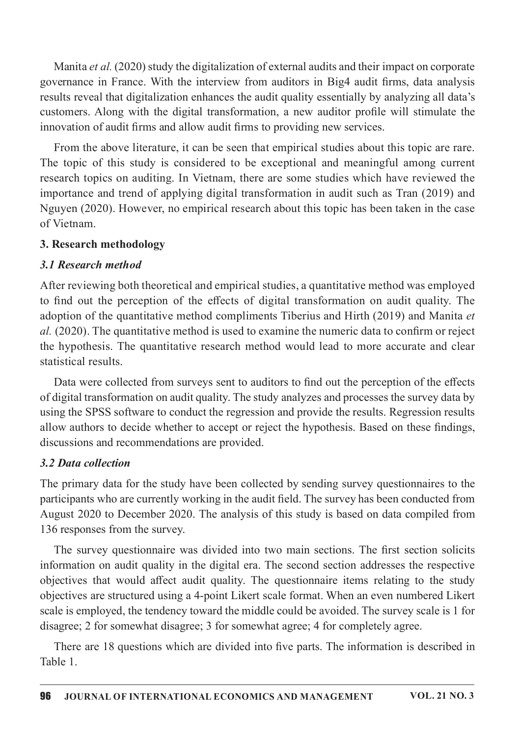Manita et al. (2020) study the digitalization of external audits and their impact on corporate governance in France. With the interview from auditors in Big4 audit firms, data analysis results reveal that digitalization enhances the audit quality essentially by analyzing all data's customers. Along with the digital transformation, a new auditor profile will stimulate the innovation of audit firms and allow audit firms to providing new services.

From the above literature, it can be seen that empirical studies about this topic are rare. The topic of this study is considered to be exceptional and meaningful among current research topics on auditing. In Vietnam, there are some studies which have reviewed the importance and trend of applying digital transformation in audit such as Tran (2019) and Nguyen (2020). However, no empirical research about this topic has been taken in the case of Vietnam.

### 3. Research methodology

## **3.1 Research method**

After reviewing both theoretical and empirical studies, a quantitative method was employed to find out the perception of the effects of digital transformation on audit quality. The adoption of the quantitative method compliments Tiberius and Hirth (2019) and Manita et al. (2020). The quantitative method is used to examine the numeric data to confirm or reject the hypothesis. The quantitative research method would lead to more accurate and clear statistical results.

Data were collected from surveys sent to auditors to find out the perception of the effects of digital transformation on audit quality. The study analyzes and processes the survey data by using the SPSS software to conduct the regression and provide the results. Regression results allow authors to decide whether to accept or reject the hypothesis. Based on these findings, discussions and recommendations are provided.

## 3.2 Data collection

The primary data for the study have been collected by sending survey questionnaires to the participants who are currently working in the audit field. The survey has been conducted from August 2020 to December 2020. The analysis of this study is based on data compiled from 136 responses from the survey.

The survey questionnaire was divided into two main sections. The first section solicits information on audit quality in the digital era. The second section addresses the respective objectives that would affect audit quality. The questionnaire items relating to the study objectives are structured using a 4-point Likert scale format. When an even numbered Likert scale is employed, the tendency toward the middle could be avoided. The survey scale is 1 for disagree; 2 for somewhat disagree; 3 for somewhat agree; 4 for completely agree.

There are 18 questions which are divided into five parts. The information is described in Table 1.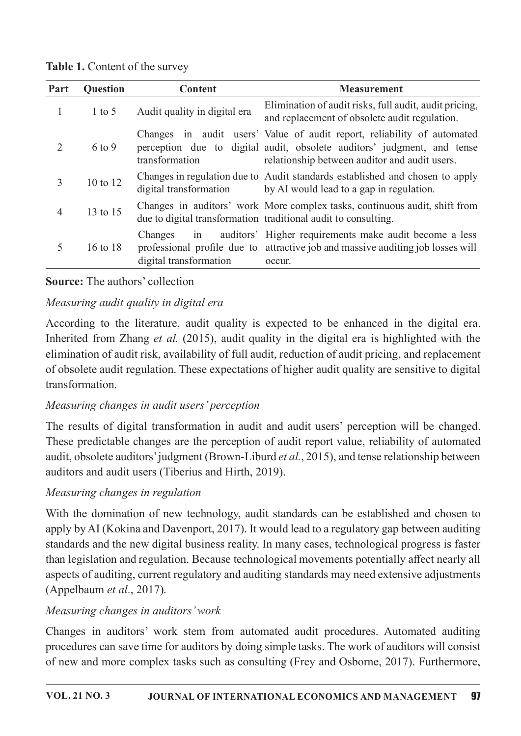Table 1. Content of the survey

| Part           | <b>Question</b> | Content                                 | <b>Measurement</b>                                                                                                                                                                                  |  |  |
|----------------|-----------------|-----------------------------------------|-----------------------------------------------------------------------------------------------------------------------------------------------------------------------------------------------------|--|--|
| 1              | $1$ to 5        | Audit quality in digital era            | Elimination of audit risks, full audit, audit pricing,<br>and replacement of obsolete audit regulation.                                                                                             |  |  |
| $\overline{2}$ | $6$ to 9        | transformation                          | Changes in audit users' Value of audit report, reliability of automated<br>perception due to digital audit, obsolete auditors' judgment, and tense<br>relationship between auditor and audit users. |  |  |
| 3              | 10 to 12        | digital transformation                  | Changes in regulation due to Audit standards established and chosen to apply<br>by AI would lead to a gap in regulation.                                                                            |  |  |
| $\overline{4}$ | 13 to 15        |                                         | Changes in auditors' work More complex tasks, continuous audit, shift from<br>due to digital transformation traditional audit to consulting.                                                        |  |  |
| 5              | 16 to 18        | Changes<br>1n<br>digital transformation | auditors' Higher requirements make audit become a less<br>professional profile due to attractive job and massive auditing job losses will<br>occur.                                                 |  |  |

## **Source:** The authors' collection

# Measuring audit quality in digital era

According to the literature, audit quality is expected to be enhanced in the digital era. Inherited from Zhang *et al.* (2015), audit quality in the digital era is highlighted with the elimination of audit risk, availability of full audit, reduction of audit pricing, and replacement of obsolete audit regulation. These expectations of higher audit quality are sensitive to digital transformation.

# Measuring changes in audit users' perception

The results of digital transformation in audit and audit users' perception will be changed. These predictable changes are the perception of audit report value, reliability of automated audit, obsolete auditors' judgment (Brown-Liburd  $et al., 2015$ ), and tense relationship between auditors and audit users (Tiberius and Hirth, 2019).

# Measuring changes in regulation

With the domination of new technology, audit standards can be established and chosen to apply by AI (Kokina and Davenport, 2017). It would lead to a regulatory gap between auditing standards and the new digital business reality. In many cases, technological progress is faster than legislation and regulation. Because technological movements potentially affect nearly all aspects of auditing, current regulatory and auditing standards may need extensive adjustments (Appelbaum et al., 2017).

# Measuring changes in auditors' work

Changes in auditors' work stem from automated audit procedures. Automated auditing procedures can save time for auditors by doing simple tasks. The work of auditors will consist of new and more complex tasks such as consulting (Frey and Osborne, 2017). Furthermore,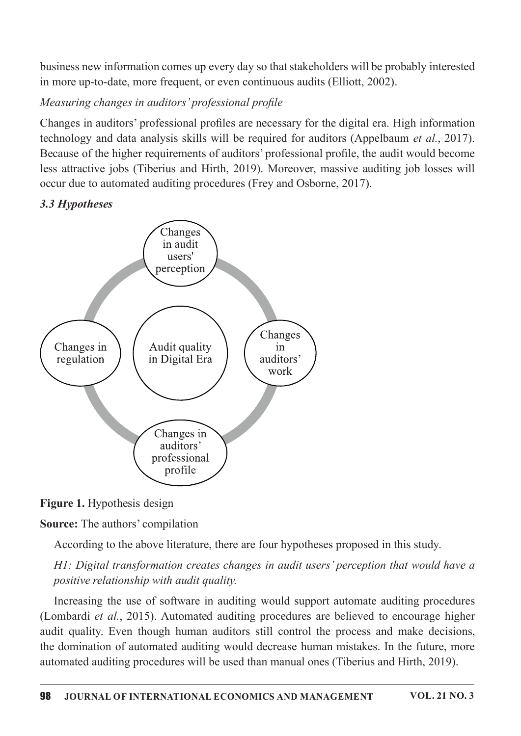business new information comes up every day so that stakeholders will be probably interested in more up-to-date, more frequent, or even continuous audits (Elliott, 2002).

# Measuring changes in auditors' professional profile

Changes in auditors' professional profiles are necessary for the digital era. High information technology and data analysis skills will be required for auditors (Appelbaum et al., 2017). Because of the higher requirements of auditors' professional profile, the audit would become less attractive jobs (Tiberius and Hirth, 2019). Moreover, massive auditing job losses will occur due to automated auditing procedures (Frey and Osborne, 2017).

# 3.3Hypotheses



Figure 1. Hypothesis design

**Source:** The authors' compilation

According to the above literature, there are four hypotheses proposed in this study.

HI: Digital transformation creates changes in audit users' perception that would have a positive relationship with audit quality.

Increasing the use of software in auditing would support automate auditing procedures (Lombardi et al., 2015). Automated auditing procedures are believed to encourage higher audit quality. Even though human auditors still control the process and make decisions, the domination of automated auditing would decrease human mistakes. In the future, more automated auditing procedures will be used than manual ones (Tiberius and Hirth, 2019).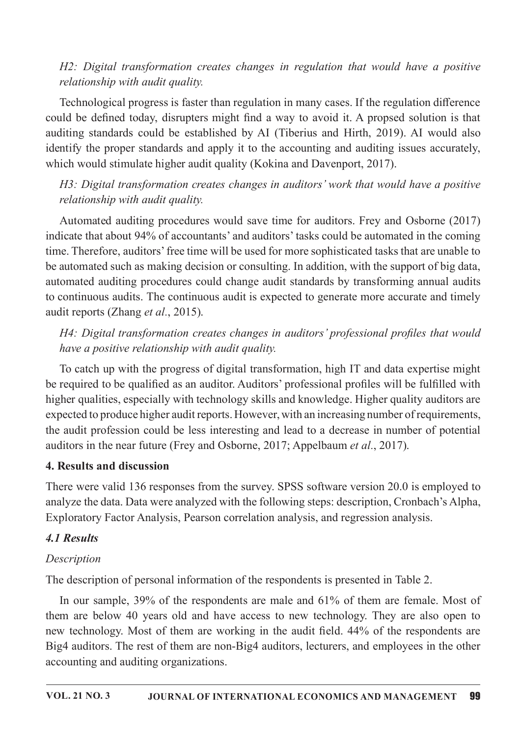# H2: Digital transformation creates changes in regulation that would have a positive relationship with audit quality.

Technological progress is faster than regulation in many cases. If the regulation difference could be defined today, disrupters might find a way to avoid it. A propsed solution is that auditing standards could be established by AI (Tiberius and Hirth, 2019). AI would also identify the proper standards and apply it to the accounting and auditing issues accurately, which would stimulate higher audit quality (Kokina and Davenport, 2017).

# H3: Digital transformation creates changes in auditors' work that would have a positive relationship with audit quality.

Automated auditing procedures would save time for auditors. Frey and Osborne (2017) indicate that about 94% of accountants' and auditors' tasks could be automated in the coming time. Therefore, auditors' free time will be used for more sophisticated tasks that are unable to be automated such as making decision or consulting. In addition, with the support of big data, automated auditing procedures could change audit standards by transforming annual audits to continuous audits. The continuous audit is expected to generate more accurate and timely audit reports (Zhang et al., 2015).

# H4: Digital transformation creates changes in auditors' professional profiles that would have a positive relationship with audit quality.

To catch up with the progress of digital transformation, high IT and data expertise might be required to be qualified as an auditor. Auditors' professional profiles will be fulfilled with higher qualities, especially with technology skills and knowledge. Higher quality auditors are expected to produce higher audit reports. However, with an increasing number of requirements, the audit profession could be less interesting and lead to a decrease in number of potential auditors in the near future (Frey and Osborne, 2017; Appelbaum *et al.*, 2017).

## 4. Results and discussion

There were valid 136 responses from the survey. SPSS software version 20.0 is employed to analyze the data. Data were analyzed with the following steps: description, Cronbach's Alpha, Exploratory Factor Analysis, Pearson correlation analysis, and regression analysis.

# 4.1 Results

# Description

The description of personal information of the respondents is presented in Table 2.

In our sample, 39% of the respondents are male and 61% of them are female. Most of them are below 40 years old and have access to new technology. They are also open to new technology. Most of them are working in the audit field. 44% of the respondents are Big4 auditors. The rest of them are non-Big4 auditors, lecturers, and employees in the other accounting and auditing organizations.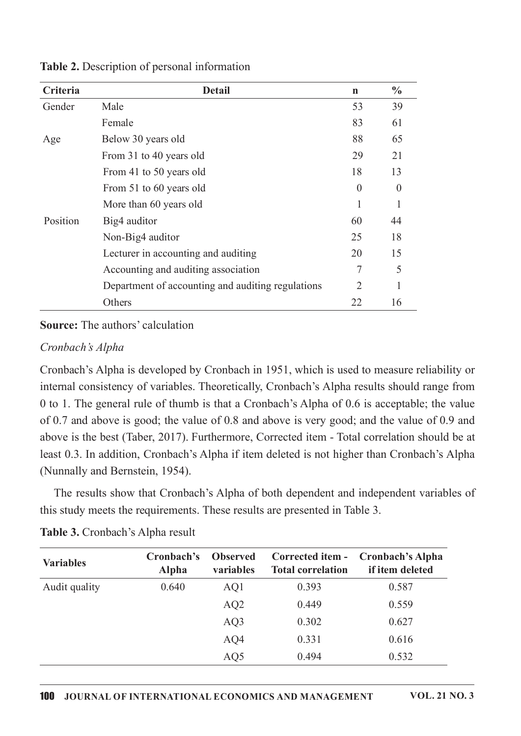| Criteria | <b>Detail</b>                                     | $\mathbf n$                 | $\frac{0}{0}$ |
|----------|---------------------------------------------------|-----------------------------|---------------|
| Gender   | Male                                              | 53                          | 39            |
|          | Female                                            | 83                          | 61            |
| Age      | Below 30 years old                                | 88                          | 65            |
|          | From 31 to 40 years old                           | 29                          | 21            |
|          | From 41 to 50 years old                           | 18                          | 13            |
|          | From 51 to 60 years old                           | $\Omega$                    |               |
|          | More than 60 years old                            | 1                           |               |
| Position | Big4 auditor                                      | 60                          | 44            |
|          | Non-Big4 auditor                                  | 25                          | 18            |
|          | Lecturer in accounting and auditing               | 20                          | 15            |
|          | Accounting and auditing association               | 7                           | 5             |
|          | Department of accounting and auditing regulations | $\mathcal{D}_{\mathcal{L}}$ |               |
|          | Others                                            | 22                          | 16            |

Table 2. Description of personal information

**Source:** The authors' calculation

#### Cronbach's Alpha

Cronbach's Alpha is developed by Cronbach in 1951, which is used to measure reliability or internal consistency of variables. Theoretically, Cronbach's Alpha results should range from 0 to 1. The general rule of thumb is that a Cronbach's Alpha of 0.6 is acceptable; the value of 0.7 and above is good; the value of 0.8 and above is very good; and the value of 0.9 and above is the best (Taber, 2017). Furthermore, Corrected item - Total correlation should be at least 0.3. In addition, Cronbach's Alpha if item deleted is not higher than Cronbach's Alpha (Nunnally and Bernstein, 1954).

The results show that Cronbach's Alpha of both dependent and independent variables of this study meets the requirements. These results are presented in Table 3.

| <b>Variables</b> | Cronbach's<br><b>Alpha</b> | <b>Observed</b><br>variables | Corrected item -<br><b>Total correlation</b> | <b>Cronbach's Alpha</b><br>if item deleted |
|------------------|----------------------------|------------------------------|----------------------------------------------|--------------------------------------------|
| Audit quality    | 0.640                      | AQ1                          | 0.393                                        | 0.587                                      |
|                  |                            | AQ <sub>2</sub>              | 0.449                                        | 0.559                                      |
|                  |                            | AQ3                          | 0.302                                        | 0.627                                      |
|                  |                            | AQ4                          | 0.331                                        | 0.616                                      |
|                  |                            | AQ5                          | 0.494                                        | 0.532                                      |

#### Table 3. Cronbach's Alpha result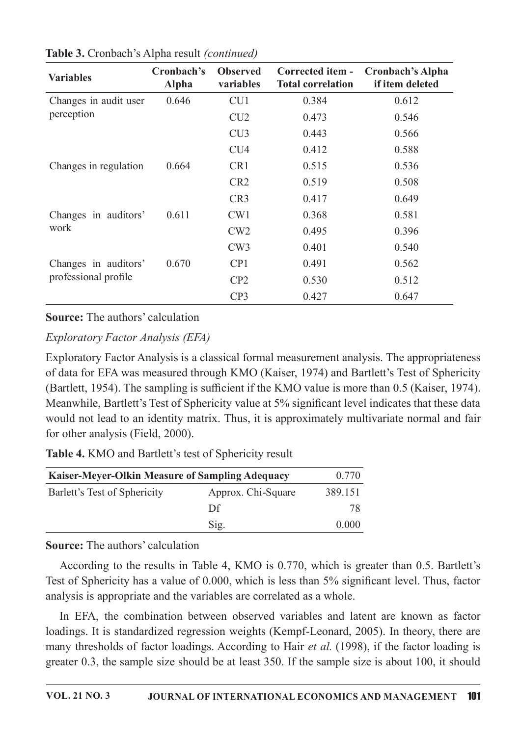| <b>Variables</b>      | Cronbach's<br><b>Alpha</b> | <b>Observed</b><br>variables | <b>Corrected item -</b><br><b>Total correlation</b> | <b>Cronbach's Alpha</b><br>if item deleted |
|-----------------------|----------------------------|------------------------------|-----------------------------------------------------|--------------------------------------------|
| Changes in audit user | 0.646                      | CU1                          | 0.384                                               | 0.612                                      |
| perception            |                            | CU2                          | 0.473                                               | 0.546                                      |
|                       |                            | CU3                          | 0.443                                               | 0.566                                      |
|                       |                            | CU <sub>4</sub>              | 0.412                                               | 0.588                                      |
| Changes in regulation | 0.664                      | CR1                          | 0.515                                               | 0.536                                      |
|                       |                            | CR <sub>2</sub>              | 0.519                                               | 0.508                                      |
|                       |                            | CR <sub>3</sub>              | 0.417                                               | 0.649                                      |
| Changes in auditors'  | 0.611                      | CW1                          | 0.368                                               | 0.581                                      |
| work                  |                            | CW2                          | 0.495                                               | 0.396                                      |
|                       |                            | CW3                          | 0.401                                               | 0.540                                      |
| Changes in auditors'  | 0.670                      | CP <sub>1</sub>              | 0.491                                               | 0.562                                      |
| professional profile  |                            | CP2                          | 0.530                                               | 0.512                                      |
|                       |                            | CP <sub>3</sub>              | 0.427                                               | 0.647                                      |

| Table 3. Cronbach's Alpha result (continued) |  |
|----------------------------------------------|--|
|----------------------------------------------|--|

**Source:** The authors' calculation

Exploratory Factor Analysis (EFA)

Exploratory Factor Analysis is a classical formal measurement analysis. The appropriateness of data for EFA was measured through KMO (Kaiser, 1974) and Bartlett's Test of Sphericity (Bartlett, 1954). The sampling is sufficient if the KMO value is more than 0.5 (Kaiser, 1974). Meanwhile, Bartlett's Test of Sphericity value at 5% significant level indicates that these data would not lead to an identity matrix. Thus, it is approximately multivariate normal and fair for other analysis (Field, 2000).

Table 4. KMO and Bartlett's test of Sphericity result

| <b>Kaiser-Meyer-Olkin Measure of Sampling Adequacy</b> | 0.770              |         |
|--------------------------------------------------------|--------------------|---------|
| Barlett's Test of Sphericity                           | Approx. Chi-Square | 389.151 |
|                                                        | Df                 | 78      |
|                                                        | Sig.               | 0.000   |

**Source:** The authors' calculation

According to the results in Table 4, KMO is 0.770, which is greater than 0.5. Bartlett's Test of Sphericity has a value of 0.000, which is less than 5% significant level. Thus, factor analysis is appropriate and the variables are correlated as a whole.

In EFA, the combination between observed variables and latent are known as factor loadings. It is standardized regression weights (Kempf-Leonard, 2005). In theory, there are many thresholds of factor loadings. According to Hair *et al.* (1998), if the factor loading is greater  $0.3$ , the sample size should be at least  $350$ . If the sample size is about  $100$ , it should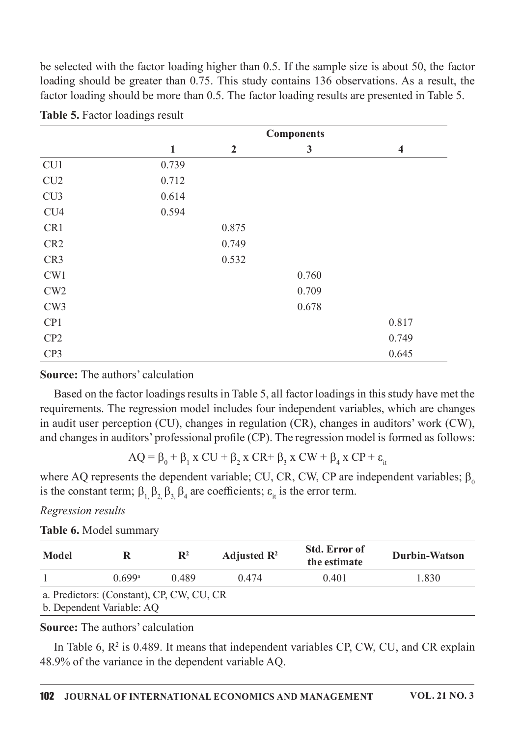be selected with the factor loading higher than 0.5. If the sample size is about 50, the factor loading should be greater than 0.75. This study contains 136 observations. As a result, the factor loading should be more than 0.5. The factor loading results are presented in Table 5.

|                 |              | <b>Components</b> |              |                         |  |  |  |
|-----------------|--------------|-------------------|--------------|-------------------------|--|--|--|
|                 | $\mathbf{1}$ | $\overline{2}$    | $\mathbf{3}$ | $\overline{\mathbf{4}}$ |  |  |  |
| CU1             | 0.739        |                   |              |                         |  |  |  |
| CU2             | 0.712        |                   |              |                         |  |  |  |
| CU3             | 0.614        |                   |              |                         |  |  |  |
| CU <sub>4</sub> | 0.594        |                   |              |                         |  |  |  |
| CR1             |              | 0.875             |              |                         |  |  |  |
| CR <sub>2</sub> |              | 0.749             |              |                         |  |  |  |
| CR <sub>3</sub> |              | 0.532             |              |                         |  |  |  |
| CW1             |              |                   | 0.760        |                         |  |  |  |
| CW2             |              |                   | 0.709        |                         |  |  |  |
| CW3             |              |                   | 0.678        |                         |  |  |  |
| CP1             |              |                   |              | 0.817                   |  |  |  |
| CP2             |              |                   |              | 0.749                   |  |  |  |
| CP3             |              |                   |              | 0.645                   |  |  |  |

|  | Table 5. Factor loadings result |  |
|--|---------------------------------|--|
|  |                                 |  |

**Source:** The authors' calculation

Based on the factor loadings results in Table 5, all factor loadings in this study have met the requirements. The regression model includes four independent variables, which are changes in audit user perception (CU), changes in regulation (CR), changes in auditors' work (CW), and changes in auditors' professional profile (CP). The regression model is formed as follows:

$$
AQ = \beta_0 + \beta_1 x CU + \beta_2 x CR + \beta_3 x CW + \beta_4 x CP + \epsilon
$$

where AQ represents the dependent variable; CU, CR, CW, CP are independent variables;  $\beta_0$ is the constant term;  $\beta_1$ ,  $\beta_2$ ,  $\beta_3$ ,  $\beta_4$  are coefficients;  $\varepsilon_{i}$  is the error term.

### Regression results

### Table 6. Model summary

| Model                                     |        | $\mathbf{R}^2$ | Adjusted $\mathbb{R}^2$ | <b>Std. Error of</b><br>the estimate | <b>Durbin-Watson</b> |  |  |
|-------------------------------------------|--------|----------------|-------------------------|--------------------------------------|----------------------|--|--|
|                                           | 0.699a | 0.489          | 0.474                   | 0.401                                | 1.830                |  |  |
| a. Predictors: (Constant), CP, CW, CU, CR |        |                |                         |                                      |                      |  |  |
| b. Dependent Variable: AQ                 |        |                |                         |                                      |                      |  |  |

### **Source:** The authors' calculation

In Table 6,  $R^2$  is 0.489. It means that independent variables CP, CW, CU, and CR explain 48.9% of the variance in the dependent variable AQ.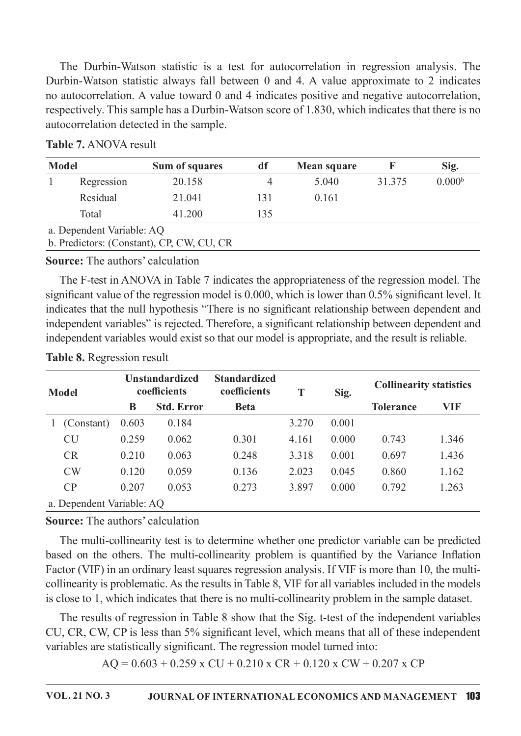The Durbin-Watson statistic is a test for autocorrelation in regression analysis. The Durbin-Watson statistic always fall between 0 and 4. A value approximate to 2 indicates no autocorrelation. A value toward 0 and 4 indicates positive and negative autocorrelation, respectively. This sample has a Durbin-Watson score of 1.830, which indicates that there is no autocorrelation detected in the sample.

| <b>Model</b> |                           | Sum of squares                            | df  | Mean square |        | Sig.               |  |
|--------------|---------------------------|-------------------------------------------|-----|-------------|--------|--------------------|--|
|              | Regression                | 20.158                                    | 4   | 5.040       | 31.375 | 0.000 <sup>b</sup> |  |
|              | Residual                  | 21.041                                    | 131 | 0.161       |        |                    |  |
|              | Total                     | 41.200                                    | 135 |             |        |                    |  |
|              | a. Dependent Variable: AQ |                                           |     |             |        |                    |  |
|              |                           | b. Predictors: (Constant), CP, CW, CU, CR |     |             |        |                    |  |

#### **Table 7. ANOVA result**

**Source:** The authors' calculation

The F-test in ANOVA in Table 7 indicates the appropriateness of the regression model. The significant value of the regression model is 0.000, which is lower than 0.5% significant level. It indicates that the null hypothesis "There is no significant relationship between dependent and independent variables" is rejected. Therefore, a significant relationship between dependent and independent variables would exist so that our model is appropriate, and the result is reliable.

| <b>Model</b>              | <b>Unstandardized</b><br>coefficients |                   | <b>Standardized</b><br>coefficients | T     | Sig.  | <b>Collinearity statistics</b> |       |
|---------------------------|---------------------------------------|-------------------|-------------------------------------|-------|-------|--------------------------------|-------|
|                           | B                                     | <b>Std. Error</b> | <b>Beta</b>                         |       |       | <b>Tolerance</b>               | VIF   |
| (Constant)                | 0.603                                 | 0.184             |                                     | 3.270 | 0.001 |                                |       |
| <b>CU</b>                 | 0.259                                 | 0.062             | 0.301                               | 4.161 | 0.000 | 0.743                          | 1.346 |
| CR                        | 0.210                                 | 0.063             | 0.248                               | 3.318 | 0.001 | 0.697                          | 1.436 |
| CW                        | 0.120                                 | 0.059             | 0.136                               | 2.023 | 0.045 | 0.860                          | 1.162 |
| CP                        | 0.207                                 | 0.053             | 0.273                               | 3.897 | 0.000 | 0.792                          | 1.263 |
| a. Dependent Variable: AQ |                                       |                   |                                     |       |       |                                |       |

### **Table 8.** Regression result

### **Source:** The authors' calculation

The multi-collinearity test is to determine whether one predictor variable can be predicted based on the others. The multi-collinearity problem is quantified by the Variance Inflation Factor (VIF) in an ordinary least squares regression analysis. If VIF is more than 10, the multicollinearity is problematic. As the results in Table 8, VIF for all variables included in the models is close to 1, which indicates that there is no multi-collinearity problem in the sample dataset.

The results of regression in Table 8 show that the Sig. t-test of the independent variables CU, CR, CW, CP is less than 5% significant level, which means that all of these independent variables are statistically significant. The regression model turned into:

 $AQ = 0.603 + 0.259$  x CU + 0.210 x CR + 0.120 x CW + 0.207 x CP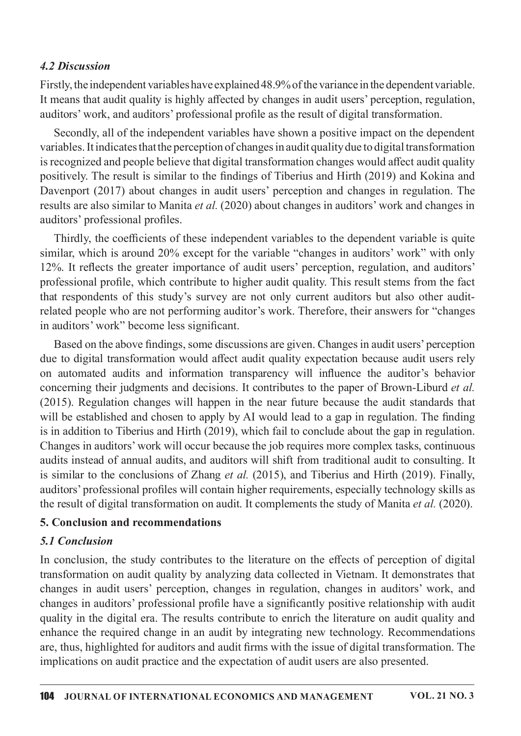### .2Discussion

Firstly, the independent variables have explained 48.9% of the variance in the dependent variable. It means that audit quality is highly affected by changes in audit users' perception, regulation, auditors' work, and auditors' professional profile as the result of digital transformation.

Secondly, all of the independent variables have shown a positive impact on the dependent variables. It indicates that the perception of changes in audit quality due to digital transformation is recognized and people believe that digital transformation changes would affect audit quality positively. The result is similar to the findings of Tiberius and Hirth (2019) and Kokina and Davenport (2017) about changes in audit users' perception and changes in regulation. The results are also similar to Manita *et al.* (2020) about changes in auditors' work and changes in auditors' professional profiles.

Thirdly, the coefficients of these independent variables to the dependent variable is quite similar, which is around 20% except for the variable "changes in auditors' work" with only 12%. It reflects the greater importance of auditusers' perception, regulation, and auditors' professional profile, which contribute to higher audit quality. This result stems from the fact that respondents of this study's survey are not only current auditors but also other auditrelated people who are not performing auditor's work. Therefore, their answers for "changes" in auditors' work" become less significant.

Based on the above findings, some discussions are given. Changes in auditusers' perception due to digital transformation would affect audit quality expectation because audit users rely on automated audits and information transparency will influence the auditor's behavior concerning their judgments and decisions. It contributes to the paper of Brown-Liburd et al.  $(2015)$ . Regulation changes will happen in the near future because the audit standards that will be established and chosen to apply by AI would lead to a gap in regulation. The finding is in addition to Tiberius and Hirth (2019), which fail to conclude about the gap in regulation. Changes in auditors' work will occur because the job requires more complex tasks, continuous audits instead of annual audits, and auditors will shift from traditional audit to consulting. It is similar to the conclusions of Zhang *et al.* (2015), and Tiberius and Hirth (2019). Finally, auditors' professional profiles will contain higher requirements, especially technology skills as the result of digital transformation on audit. It complements the study of Manita et al. (2020).

### 5. Conclusion and recommendations

## 5.1Conclusion

In conclusion, the study contributes to the literature on the effects of perception of digital transformation on audit quality by analyzing data collected in Vietnam. It demonstrates that changes in audit users' perception, changes in regulation, changes in auditors' work, and changes in auditors' professional profile have a significantly positive relationship with audit quality in the digital era. The results contribute to enrich the literature on audit quality and enhance the required change in an audit by integrating new technology. Recommendations are, thus, highlighted for auditors and audit firms with the issue of digital transformation. The implications on audit practice and the expectation of audit users are also presented.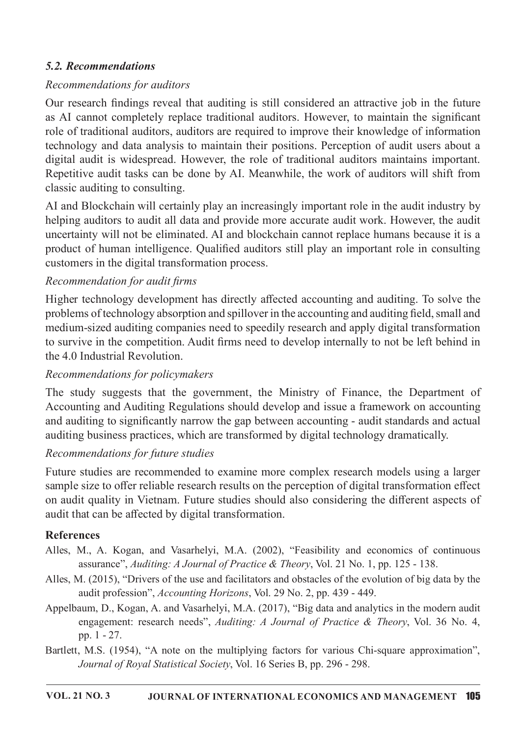## 5.2.Recommendations

## Recommendations for auditors

Our research findings reveal that auditing is still considered an attractive job in the future as AI cannot completely replace traditional auditors. However, to maintain the significant role of traditional auditors, auditors are required to improve their knowledge of information technology and data analysis to maintain their positions. Perception of audit users about a digital audit is widespread. However, the role of traditional auditors maintains important. Repetitive audit tasks can be done by AI. Meanwhile, the work of auditors will shift from classic auditing to consulting.

AI and Blockchain will certainly play an increasingly important role in the audit industry by helping auditors to audit all data and provide more accurate audit work. However, the audit uncertainty will not be eliminated. AI and blockchain cannot replace humans because it is a product of human intelligence. Qualified auditors still play an important role in consulting customers in the digital transformation process.

## Recommendation for audit firms

Higher technology development has directly affected accounting and auditing. To solve the problems of technology absorption and spillover in the accounting and auditing field, small and medium-sized auditing companies need to speedily research and apply digital transformation to survive in the competition. Audit firms need to develop internally to not be left behind in the 4.0 Industrial Revolution.

## Recommendations for policymakers

The study suggests that the government, the Ministry of Finance, the Department of Accounting and Auditing Regulations should develop and issue a framework on accounting and auditing to significantly narrow the gap between accounting - audit standards and actual auditing business practices, which are transformed by digital technology dramatically.

# Recommendations for future studies

Future studies are recommended to examine more complex research models using a larger sample size to offer reliable research results on the perception of digital transformation effect on audit quality in Vietnam. Future studies should also considering the different aspects of audit that can be affected by digital transformation.

## References

- Alles, M., A. Kogan, and Vasarhelyi, M.A. (2002), "Feasibility and economics of continuous assurance", Auditing: A Journal of Practice & Theory, Vol. 21 No. 1, pp. 125 - 138.
- Alles, M. (2015), "Drivers of the use and facilitators and obstacles of the evolution of big data by the audit profession", Accounting Horizons, Vol. 29 No. 2, pp. 439 - 449.
- Appelbaum, D., Kogan, A. and Vasarhelyi, M.A. (2017), "Big data and analytics in the modern audit engagement: research needs", Auditing: A Journal of Practice & Theory, Vol. 36 No. 4, pp. 1 - 27.
- Bartlett, M.S. (1954), "A note on the multiplying factors for various Chi-square approximation", Journal of Royal Statistical Society, Vol. 16 Series B, pp. 296 - 298.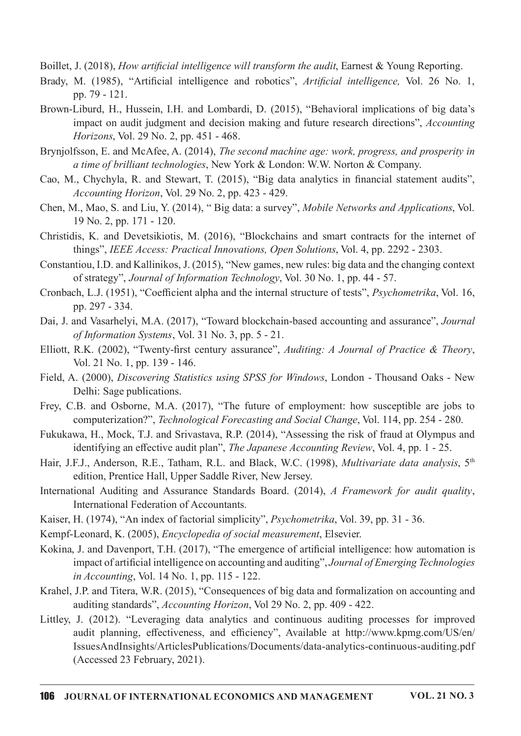Boillet, J. (2018), How artificial intelligence will transform the audit, Earnest & Young Reporting.

- Brady, M. (1985), "Artificial intelligence and robotics", Artificial intelligence, Vol. 26 No. 1, pp.  $79 - 121$ .
- Brown-Liburd, H., Hussein, I.H. and Lombardi, D. (2015), "Behavioral implications of big data's impact on audit judgment and decision making and future research directions", *Accounting* Horizons, Vol. 29 No. 2, pp. 451 - 468.
- Brynjolfsson, E. and McAfee, A. (2014), *The second machine age: work, progress, and prosperity in* a time of brilliant technologies, New York & London: W.W. Norton & Company.
- Cao, M., Chychyla, R. and Stewart, T. (2015), "Big data analytics in financial statement audits", Accounting Horizon, Vol. 29 No. 2, pp. 423 - 429.
- Chen, M., Mao, S. and Liu, Y. (2014), "Big data: a survey", Mobile Networks and Applications, Vol. 19 No. 2, pp. 171 - 120.
- Christidis, K. and Devetsikiotis, M. (2016), "Blockchains and smart contracts for the internet of things", IEEE Access: Practical Innovations, Open Solutions, Vol. 4, pp. 2292 - 2303.
- Constantiou, I.D. and Kallinikos, J. (2015), "New games, new rules: big data and the changing context of strategy", Journal of Information Technology, Vol. 30 No. 1, pp. 44 - 57.
- Cronbach, L.J. (1951), "Coefficient alpha and the internal structure of tests", *Psychometrika*, Vol. 16, pp. 297 - 334.
- Dai, J. and Vasarhelyi, M.A. (2017), "Toward blockchain-based accounting and assurance", *Journal* of Information Systems, Vol. 31 No. 3, pp. 5 - 21.
- Elliott, R.K. (2002), "Twenty-first century assurance", Auditing: A Journal of Practice & Theory, Vol.21No.1,pp.139-146.
- Field, A. (2000), Discovering Statistics using SPSS for Windows, London Thousand Oaks New Delhi: Sage publications.
- Frey, C.B. and Osborne, M.A. (2017), "The future of employment: how susceptible are jobs to computerization?", Technological Forecasting and Social Change, Vol. 114, pp. 254 - 280.
- Fukukawa, H., Mock, T.J. and Srivastava, R.P. (2014), "Assessing the risk of fraud at Olympus and identifying an effective audit plan", The Japanese Accounting Review, Vol. 4, pp. 1 - 25.
- Hair, J.F.J., Anderson, R.E., Tatham, R.L. and Black, W.C. (1998), *Multivariate data analysis*, 5<sup>th</sup> edition, Prentice Hall, Upper Saddle River, New Jersey.
- International Auditing and Assurance Standards Board. (2014), A Framework for audit quality, International Federation of Accountants.
- Kaiser, H. (1974), "An index of factorial simplicity", Psychometrika, Vol. 39, pp. 31 36.
- Kempf-Leonard, K. (2005), *Encyclopedia of social measurement*, Elsevier.
- Kokina, J. and Davenport, T.H. (2017), "The emergence of artificial intelligence: how automation is impact of artificial intelligence on accounting and auditing", Journal of Emerging Technologies in Accounting, Vol. 14 No. 1, pp. 115 - 122.
- Krahel, J.P. and Titera, W.R. (2015), "Consequences of big data and formalization on accounting and auditing standards", Accounting Horizon, Vol 29 No. 2, pp. 409 - 422.
- Littley, J. (2012). "Leveraging data analytics and continuous auditing processes for improved audit planning, effectiveness, and efficiency", Available at http://www.kpmg.com/US/en/ IssuesAndInsights/ArticlesPublications/Documents/data-analytics-continuous-auditing.pdf (Accessed 23 February, 2021).